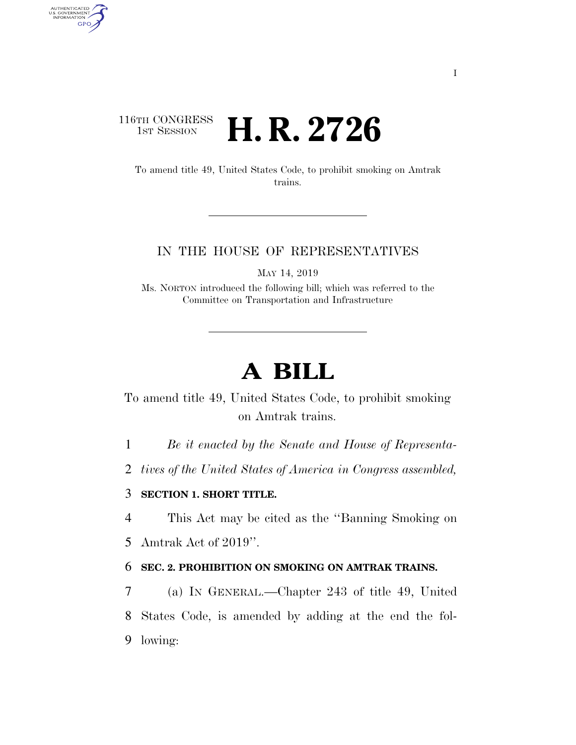## 116TH CONGRESS **HE CONGRESS H. R. 2726**

AUTHENTICATED<br>U.S. GOVERNMENT<br>INFORMATION GPO

> To amend title 49, United States Code, to prohibit smoking on Amtrak trains.

#### IN THE HOUSE OF REPRESENTATIVES

MAY 14, 2019

Ms. NORTON introduced the following bill; which was referred to the Committee on Transportation and Infrastructure

# **A BILL**

To amend title 49, United States Code, to prohibit smoking on Amtrak trains.

1 *Be it enacted by the Senate and House of Representa-*

2 *tives of the United States of America in Congress assembled,* 

### 3 **SECTION 1. SHORT TITLE.**

4 This Act may be cited as the ''Banning Smoking on

5 Amtrak Act of 2019''.

### 6 **SEC. 2. PROHIBITION ON SMOKING ON AMTRAK TRAINS.**

7 (a) IN GENERAL.—Chapter 243 of title 49, United 8 States Code, is amended by adding at the end the fol-9 lowing: